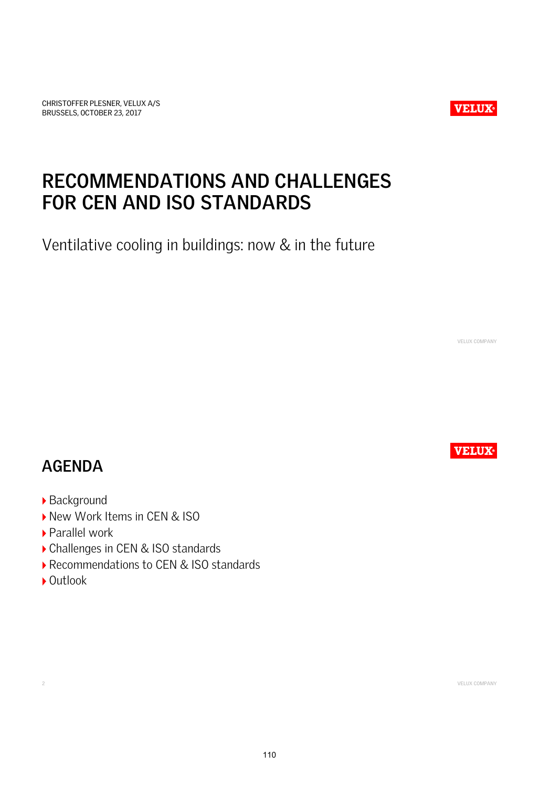CHRISTOFFER PLESNER, VELUX A/S BRUSSELS, OCTOBER 23, 2017



# **RECOMMENDATIONS AND CHALLENGES FOR CEN AND ISO STANDARDS**

*Ventilative cooling in buildings: now & in the future*

VELUX COMPANY

**VELUX** 

### **AGENDA**

- *Background*
- *New Work Items in CEN & ISO*
- *Parallel work*
- *Challenges in CEN & ISO standards*
- *Recommendations to CEN & ISO standards*
- *Outlook*

2 VELUX COMPANY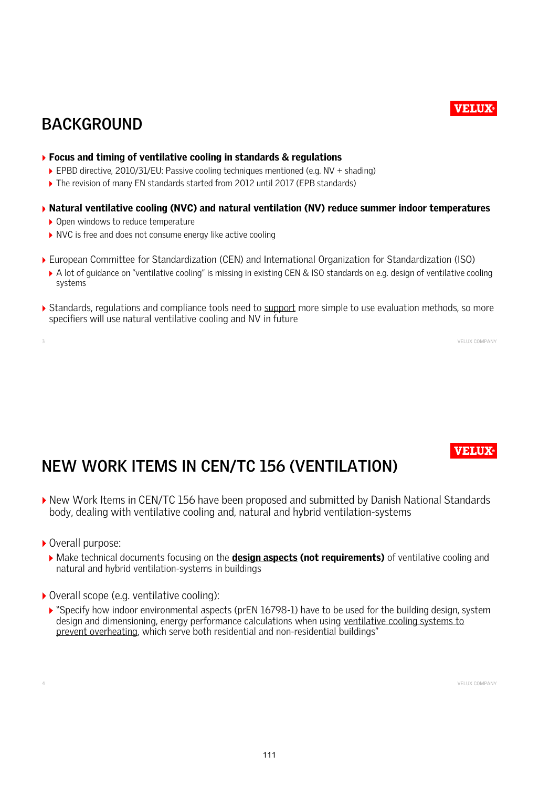### **VELUX**

### **BACKGROUND**

#### *Focus and timing of ventilative cooling in standards & regulations*

- *EPBD directive, 2010/31/EU: Passive cooling techniques mentioned (e.g. NV + shading)*
- *The revision of many EN standards started from 2012 until 2017 (EPB standards)*

#### *Natural ventilative cooling (NVC) and natural ventilation (NV) reduce summer indoor temperatures*

- *Open windows to reduce temperature*
- *NVC is free and does not consume energy like active cooling*
- *European Committee for Standardization (CEN) and International Organization for Standardization (ISO)*
- ▶ A lot of quidance on "ventilative cooling" is missing in existing CEN & ISO standards on e.g. design of ventilative cooling *systems*
- *Standards, regulations and compliance tools need to support more simple to use evaluation methods, so more specifiers will use natural ventilative cooling and NV in future*

3 VELUX COMPANY

**VELUX** 

# **NEW WORK ITEMS IN CEN/TC 156 (VENTILATION)**

- *New Work Items in CEN/TC 156 have been proposed and submitted by Danish National Standards body, dealing with ventilative cooling and, natural and hybrid ventilation-systems*
- *Overall purpose:*
	- *Make technical documents focusing on the design aspects (not requirements) of ventilative cooling and natural and hybrid ventilation-systems in buildings*
- *Overall scope (e.g. ventilative cooling):*
	- *"Specify how indoor environmental aspects (prEN 16798-1) have to be used for the building design, system design and dimensioning, energy performance calculations when using ventilative cooling systems to prevent overheating, which serve both residential and non-residential buildings"*

4 VELUX COMPANY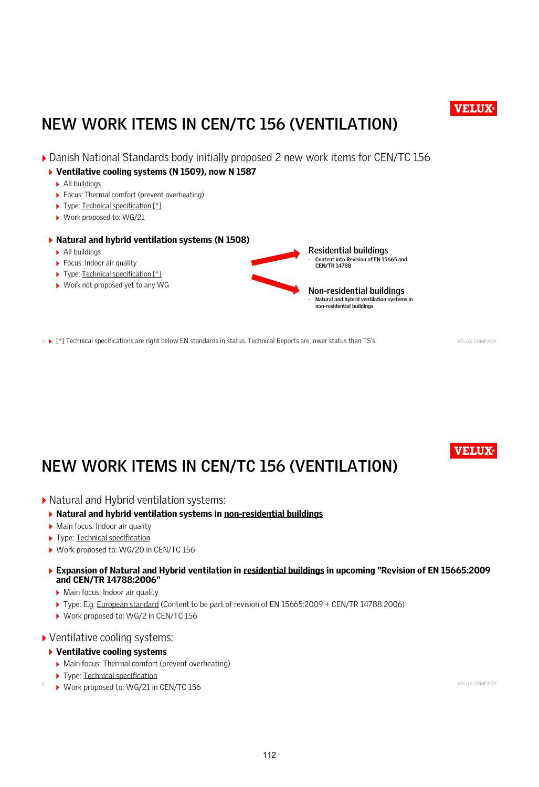

# **NEW WORK ITEMS IN CEN/TC 156 (VENTILATION)**

- *Danish National Standards body initially proposed 2 new work items for CEN/TC 156*
	- *Ventilative cooling systems (N 1509), now N 1587*
		- *All buildings*
		- *Focus: Thermal comfort (prevent overheating)*
		- *Type: Technical specification [\*]*
		- *Work proposed to: WG/21*
	- *Natural and hybrid ventilation systems (N 1508)*
		- *All buildings*
		- *Focus: Indoor air quality*
		- *Type: Technical specification [\*]*
		- *Work not proposed yet to any WG*



5 **F**<sup>\*</sup>] Technical specifications are right below EN standards in status. Technical Reports are lower status than TS's VELUX COMPANY

**VELUX** 

# **NEW WORK ITEMS IN CEN/TC 156 (VENTILATION)**

- *Natural and Hybrid ventilation systems:*
	- *Natural and hybrid ventilation systems in non-residential buildings*
	- *Main focus: Indoor air quality*
	- *Type: Technical specification*
	- *Work proposed to: WG/20 in CEN/TC 156*
	- *Expansion of Natural and Hybrid ventilation in residential buildings in upcoming "Revision of EN 15665:2009 and CEN/TR 14788:2006"*
		- *Main focus: Indoor air quality*
		- *Type: E.g. European standard (Content to be part of revision of EN 15665:2009 + CEN/TR 14788:2006)*
		- *Work proposed to: WG/2 in CEN/TC 156*
- *Ventilative cooling systems:*

#### *Ventilative cooling systems*

- *Main focus: Thermal comfort (prevent overheating)*
- *Type: Technical specification*
- ▶ Work proposed to: WG/21 in CEN/TC 156 **6 VELUX COMPANY**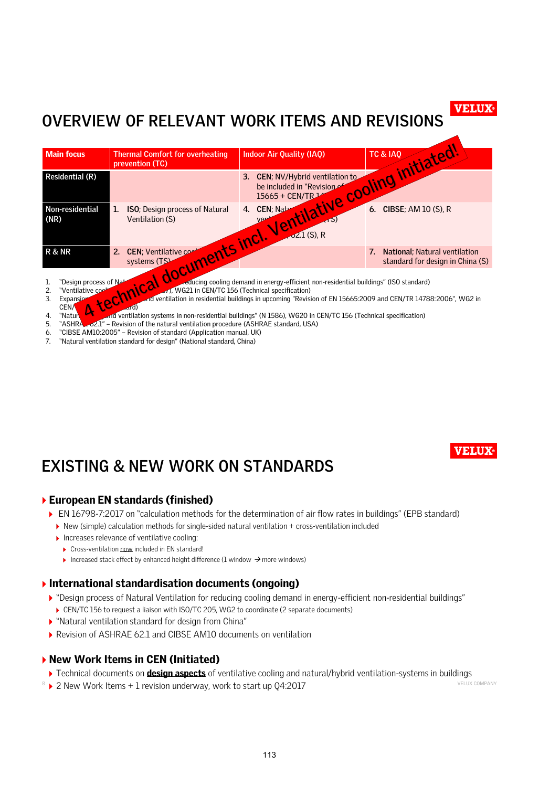#### **VELUX**

### **OVERVIEW OF RELEVANT WORK ITEMS AND REVISIONS**

| <b>Main focus</b>                                                                                                                                                                                                                                         | <b>Thermal Comfort for overheating</b><br>prevention (TC)       | <b>Indoor Air Quality (IAQ)</b>                             |                                                                   |
|-----------------------------------------------------------------------------------------------------------------------------------------------------------------------------------------------------------------------------------------------------------|-----------------------------------------------------------------|-------------------------------------------------------------|-------------------------------------------------------------------|
| <b>Residential (R)</b>                                                                                                                                                                                                                                    |                                                                 | 3. CEN; NV/Hybrid ventilation to                            |                                                                   |
| Non-residential<br>(NR)                                                                                                                                                                                                                                   | <b>ISO</b> ; Design process of Natural<br>1.<br>Ventilation (S) | Ventilative cooling initiated!<br>4.<br>$\sqrt{2.1}$ (S), R |                                                                   |
| <b>R &amp; NR</b>                                                                                                                                                                                                                                         | documents incl.<br>CEN; Ventilative com<br>2.<br>systems (TS)   |                                                             | National; Natural ventilation<br>standard for design in China (S) |
| .<br><b>EXECUTIVE CONTRACT CONTRACT CONTRACT CONTRACT CONTRACT CONTRACT CONTRACT CONTRACT CONTRACT CONTRACT CONTRACT CONTRACT CONTRACT CONTRACT CONTRACT CONTRACT CONTRACT CONTRACT CONTRACT CONTRACT CONTRACT CONTRACT CONTRACT CONT</b><br>$\mathbf{v}$ |                                                                 |                                                             |                                                                   |

"Design process of Natural Ventilation for reducing cooling demand in energy-efficient non-residential buildings" (ISO standard)

2. "Ventilative cooling Systems" (N 1587), WG21 in CEN/TC 156 (Technical specification)<br>3. Expansion of California and Ventilation in residential buildings in upcoming "Revis

- 3. Ventilation in residential buildings in upcoming "Revision of EN 15665:2009 and CEN/TR 14788:2006", WG2 in CEN
- 4. "Natural and ventilation systems in non-residential buildings" (N 1586), WG20 in CEN/TC 156 (Technical specification)
- 5. "ASHRAE 62.1" Revision of the natural ventilation procedure (ASHRAE standard, USA)
- 6. "CIBSE AM10:2005" Revision of standard (Application manual, UK)<br>7. "Natural ventilation standard for design" (National standard, China)
- 7 7. "Natural ventilation standard for design" (National standard, China)

### **EXISTING & NEW WORK ON STANDARDS**

#### *European EN standards (finished)*

- *EN 16798-7:2017 on "calculation methods for the determination of air flow rates in buildings" (EPB standard)*
	- *New (simple) calculation methods for single-sided natural ventilation + cross-ventilation included*
	- *Increases relevance of ventilative cooling:*
	- *Cross-ventilation now included in EN standard!*
	- **i** Increased stack effect by enhanced height difference (1 window → more windows)

#### *International standardisation documents (ongoing)*

- *"Design process of Natural Ventilation for reducing cooling demand in energy-efficient non-residential buildings"*
	- *CEN/TC 156 to request a liaison with ISO/TC 205, WG2 to coordinate (2 separate documents)*
- *"Natural ventilation standard for design from China"*
- *Revision of ASHRAE 62.1 and CIBSE AM10 documents on ventilation*

#### *New Work Items in CEN (Initiated)*

- *Technical documents on design aspects of ventilative cooling and natural/hybrid ventilation-systems in buildings*
- <sup>8</sup> > 2 New Work Items + 1 revision underway, work to start up Q4:2017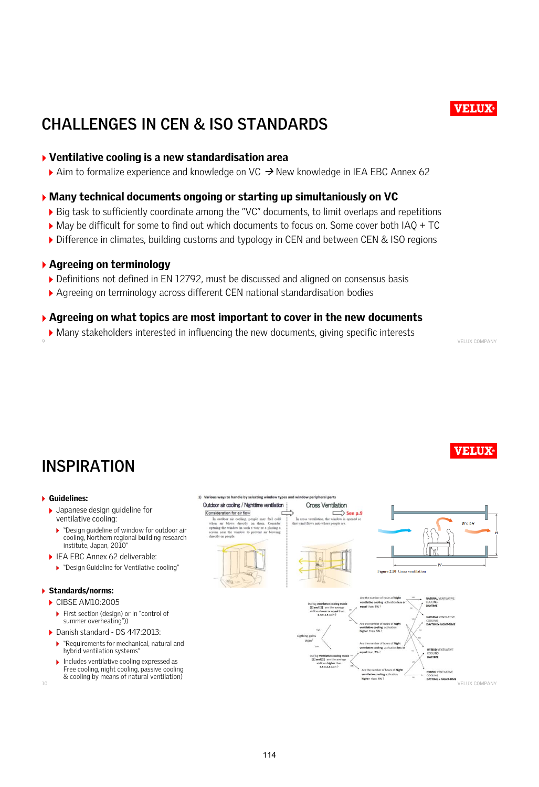### **CHALLENGES IN CEN & ISO STANDARDS**

#### *Ventilative cooling is a new standardisation area*

*Aim to formalize experience and knowledge on VC New knowledge in IEA EBC Annex 62* 

#### *Many technical documents ongoing or starting up simultaniously on VC*

- *Big task to sufficiently coordinate among the "VC" documents, to limit overlaps and repetitions*
- *May be difficult for some to find out which documents to focus on. Some cover both IAQ + TC*
- *Difference in climates, building customs and typology in CEN and between CEN & ISO regions*

#### *Agreeing on terminology*

- *Definitions not defined in EN 12792, must be discussed and aligned on consensus basis*
- *Agreeing on terminology across different CEN national standardisation bodies*

#### *Agreeing on what topics are most important to cover in the new documents*

*Many stakeholders interested in influencing the new documents, giving specific interests*

9 VELUX COMPANY

### **INSPIRATION**

#### *Guidelines:*

- *Japanese design guideline for ventilative cooling:*
- *"Design guideline of window for outdoor air cooling, Northern regional building research institute, Japan, 2010"*
- *IEA EBC Annex 62 deliverable:* 
	- *"Design Guideline for Ventilative cooling"*

#### *Standards/norms:*

- *CIBSE AM10:2005*
	- *First section (design) or in "control of summer overheating"))*
- *Danish standard - DS 447:2013:*
	- *"Requirements for mechanical, natural and hybrid ventilation systems"*
	- *Includes ventilative cooling expressed as Free cooling, night cooling, passive cooling & cooling by means of natural ventilation)*



10

**VELUX** 

VELUX COMPANY

**VELUX**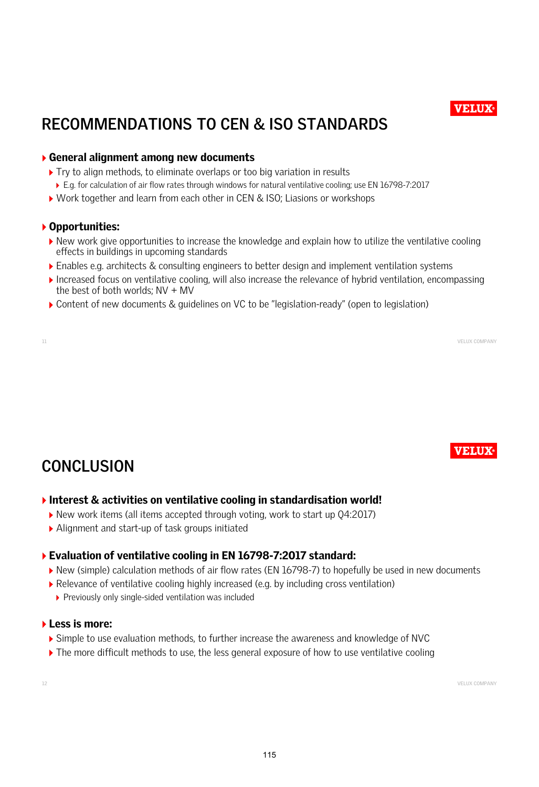# **RECOMMENDATIONS TO CEN & ISO STANDARDS**

#### *General alignment among new documents*

- *Try to align methods, to eliminate overlaps or too big variation in results*
	- *E.g. for calculation of air flow rates through windows for natural ventilative cooling; use EN 16798-7:2017*
- *Work together and learn from each other in CEN & ISO; Liasions or workshops*

#### *Opportunities:*

- *New work give opportunities to increase the knowledge and explain how to utilize the ventilative cooling effects in buildings in upcoming standards*
- *Enables e.g. architects & consulting engineers to better design and implement ventilation systems*
- *Increased focus on ventilative cooling, will also increase the relevance of hybrid ventilation, encompassing the best of both worlds; NV + MV*

11 VELUX COMPANY

*Content of new documents & guidelines on VC to be "legislation-ready" (open to legislation)*

### **CONCLUSION**

#### *Interest & activities on ventilative cooling in standardisation world!*

- *New work items (all items accepted through voting, work to start up Q4:2017)*
- *Alignment and start-up of task groups initiated*

#### *Evaluation of ventilative cooling in EN 16798-7:2017 standard:*

- *New (simple) calculation methods of air flow rates (EN 16798-7) to hopefully be used in new documents*
- *Relevance of ventilative cooling highly increased (e.g. by including cross ventilation)*
	- *Previously only single-sided ventilation was included*

#### *Less is more:*

- *Simple to use evaluation methods, to further increase the awareness and knowledge of NVC*
- *The more difficult methods to use, the less general exposure of how to use ventilative cooling*

12 VELUX COMPANY